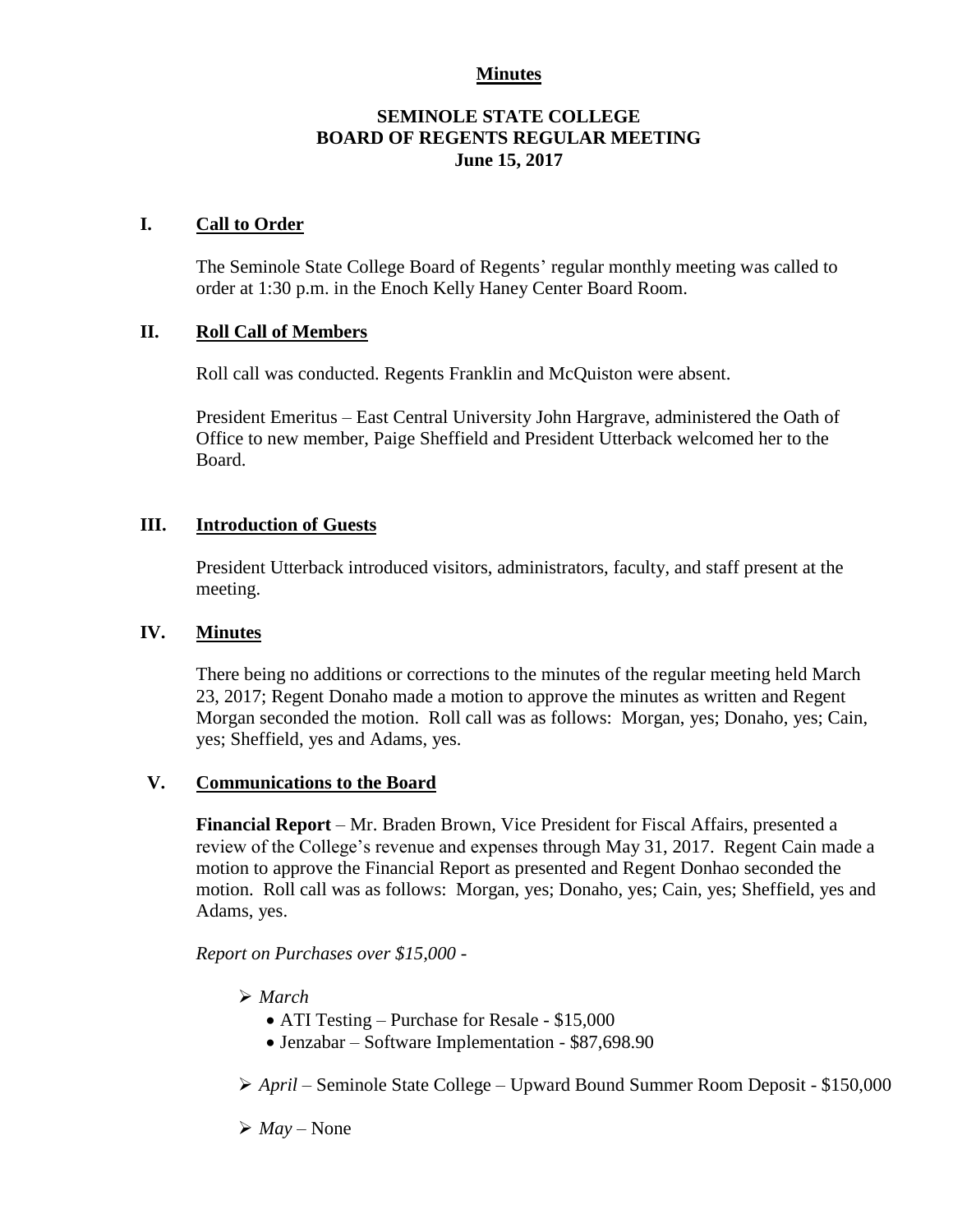### **Minutes**

### **SEMINOLE STATE COLLEGE BOARD OF REGENTS REGULAR MEETING June 15, 2017**

### **I. Call to Order**

The Seminole State College Board of Regents' regular monthly meeting was called to order at 1:30 p.m. in the Enoch Kelly Haney Center Board Room.

### **II. Roll Call of Members**

Roll call was conducted. Regents Franklin and McQuiston were absent.

President Emeritus – East Central University John Hargrave, administered the Oath of Office to new member, Paige Sheffield and President Utterback welcomed her to the Board.

### **III. Introduction of Guests**

President Utterback introduced visitors, administrators, faculty, and staff present at the meeting.

### **IV. Minutes**

There being no additions or corrections to the minutes of the regular meeting held March 23, 2017; Regent Donaho made a motion to approve the minutes as written and Regent Morgan seconded the motion. Roll call was as follows: Morgan, yes; Donaho, yes; Cain, yes; Sheffield, yes and Adams, yes.

### **V. Communications to the Board**

**Financial Report** – Mr. Braden Brown, Vice President for Fiscal Affairs, presented a review of the College's revenue and expenses through May 31, 2017. Regent Cain made a motion to approve the Financial Report as presented and Regent Donhao seconded the motion. Roll call was as follows: Morgan, yes; Donaho, yes; Cain, yes; Sheffield, yes and Adams, yes.

*Report on Purchases over \$15,000 -*

- *March*
	- ATI Testing Purchase for Resale \$15,000
	- Jenzabar Software Implementation \$87,698.90

*April* – Seminole State College – Upward Bound Summer Room Deposit - \$150,000

 $\triangleright$  *May* – None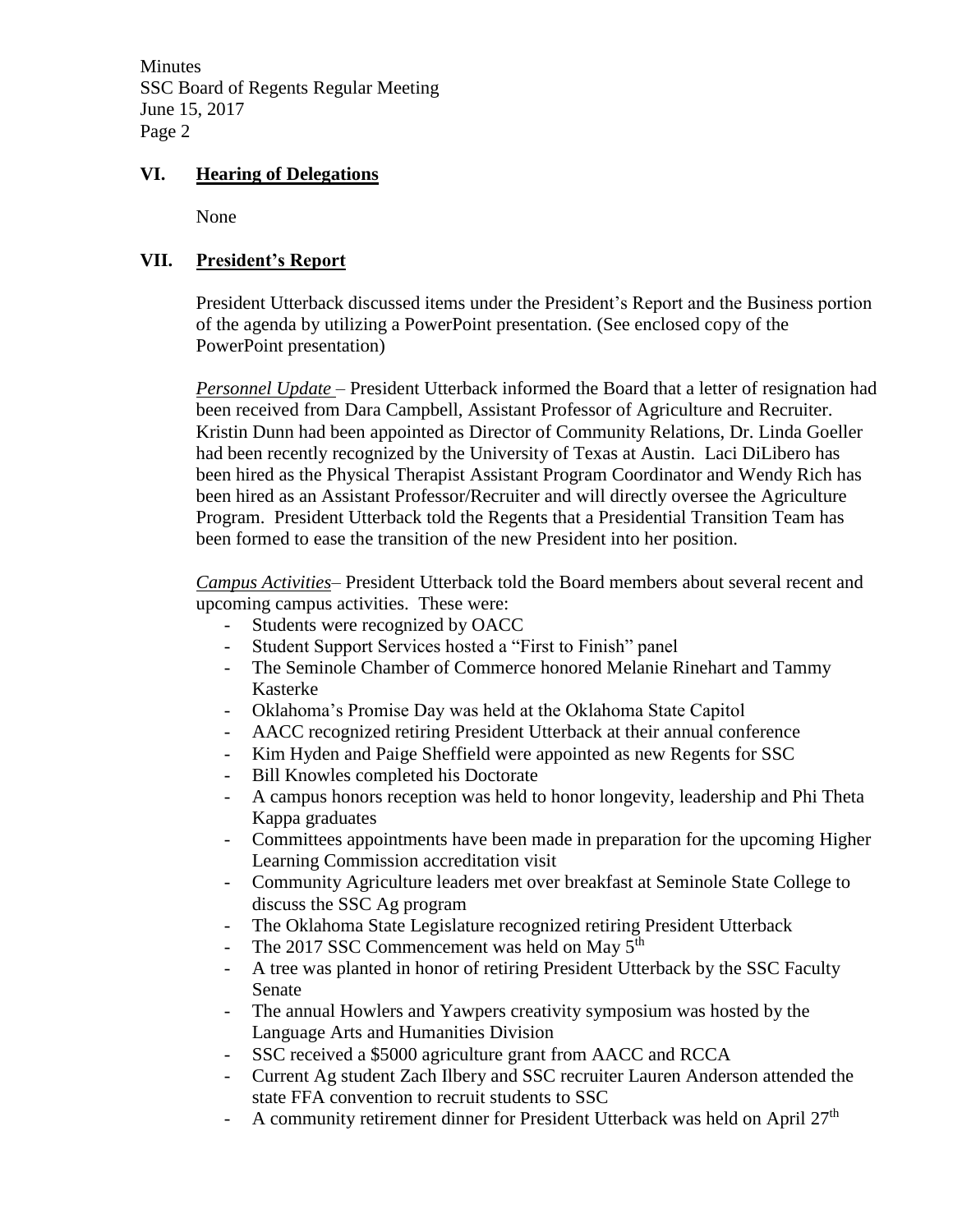### **VI. Hearing of Delegations**

None

### **VII. President's Report**

President Utterback discussed items under the President's Report and the Business portion of the agenda by utilizing a PowerPoint presentation. (See enclosed copy of the PowerPoint presentation)

*Personnel Update* – President Utterback informed the Board that a letter of resignation had been received from Dara Campbell, Assistant Professor of Agriculture and Recruiter. Kristin Dunn had been appointed as Director of Community Relations, Dr. Linda Goeller had been recently recognized by the University of Texas at Austin. Laci DiLibero has been hired as the Physical Therapist Assistant Program Coordinator and Wendy Rich has been hired as an Assistant Professor/Recruiter and will directly oversee the Agriculture Program. President Utterback told the Regents that a Presidential Transition Team has been formed to ease the transition of the new President into her position.

*Campus Activities*– President Utterback told the Board members about several recent and upcoming campus activities. These were:

- Students were recognized by OACC
- Student Support Services hosted a "First to Finish" panel
- The Seminole Chamber of Commerce honored Melanie Rinehart and Tammy Kasterke
- Oklahoma's Promise Day was held at the Oklahoma State Capitol
- AACC recognized retiring President Utterback at their annual conference
- Kim Hyden and Paige Sheffield were appointed as new Regents for SSC
- Bill Knowles completed his Doctorate
- A campus honors reception was held to honor longevity, leadership and Phi Theta Kappa graduates
- Committees appointments have been made in preparation for the upcoming Higher Learning Commission accreditation visit
- Community Agriculture leaders met over breakfast at Seminole State College to discuss the SSC Ag program
- The Oklahoma State Legislature recognized retiring President Utterback
- The 2017 SSC Commencement was held on May 5<sup>th</sup>
- A tree was planted in honor of retiring President Utterback by the SSC Faculty Senate
- The annual Howlers and Yawpers creativity symposium was hosted by the Language Arts and Humanities Division
- SSC received a \$5000 agriculture grant from AACC and RCCA
- Current Ag student Zach Ilbery and SSC recruiter Lauren Anderson attended the state FFA convention to recruit students to SSC
- A community retirement dinner for President Utterback was held on April 27<sup>th</sup>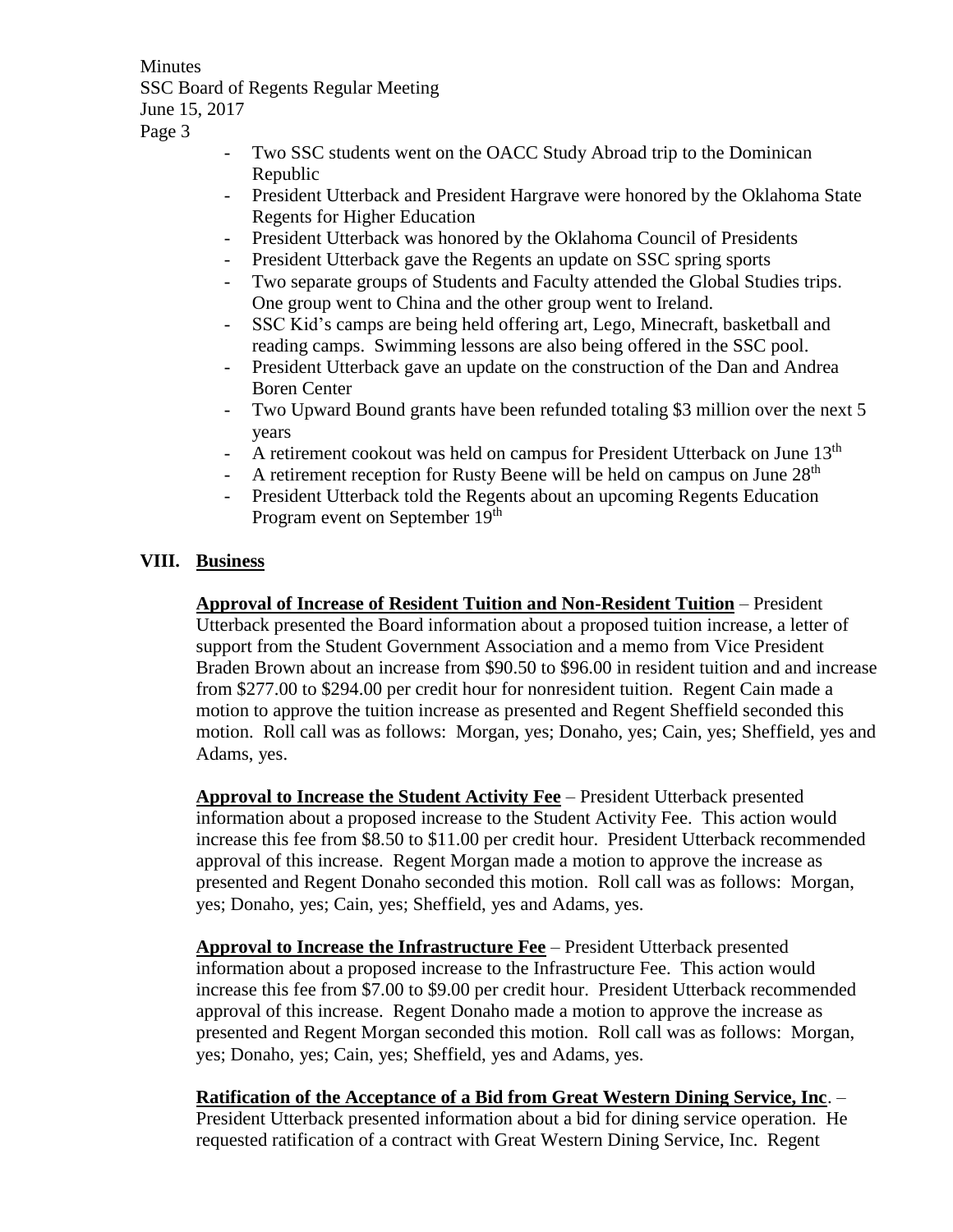- Two SSC students went on the OACC Study Abroad trip to the Dominican Republic
- President Utterback and President Hargrave were honored by the Oklahoma State Regents for Higher Education
- President Utterback was honored by the Oklahoma Council of Presidents
- President Utterback gave the Regents an update on SSC spring sports
- Two separate groups of Students and Faculty attended the Global Studies trips. One group went to China and the other group went to Ireland.
- SSC Kid's camps are being held offering art, Lego, Minecraft, basketball and reading camps. Swimming lessons are also being offered in the SSC pool.
- President Utterback gave an update on the construction of the Dan and Andrea Boren Center
- Two Upward Bound grants have been refunded totaling \$3 million over the next 5 years
- A retirement cookout was held on campus for President Utterback on June 13<sup>th</sup>
- A retirement reception for Rusty Beene will be held on campus on June  $28<sup>th</sup>$
- President Utterback told the Regents about an upcoming Regents Education Program event on September 19<sup>th</sup>

# **VIII. Business**

**Approval of Increase of Resident Tuition and Non-Resident Tuition** – President Utterback presented the Board information about a proposed tuition increase, a letter of support from the Student Government Association and a memo from Vice President Braden Brown about an increase from \$90.50 to \$96.00 in resident tuition and and increase from \$277.00 to \$294.00 per credit hour for nonresident tuition. Regent Cain made a motion to approve the tuition increase as presented and Regent Sheffield seconded this motion. Roll call was as follows: Morgan, yes; Donaho, yes; Cain, yes; Sheffield, yes and Adams, yes.

**Approval to Increase the Student Activity Fee** – President Utterback presented information about a proposed increase to the Student Activity Fee. This action would increase this fee from \$8.50 to \$11.00 per credit hour. President Utterback recommended approval of this increase. Regent Morgan made a motion to approve the increase as presented and Regent Donaho seconded this motion. Roll call was as follows: Morgan, yes; Donaho, yes; Cain, yes; Sheffield, yes and Adams, yes.

**Approval to Increase the Infrastructure Fee** – President Utterback presented information about a proposed increase to the Infrastructure Fee. This action would increase this fee from \$7.00 to \$9.00 per credit hour. President Utterback recommended approval of this increase. Regent Donaho made a motion to approve the increase as presented and Regent Morgan seconded this motion. Roll call was as follows: Morgan, yes; Donaho, yes; Cain, yes; Sheffield, yes and Adams, yes.

**Ratification of the Acceptance of a Bid from Great Western Dining Service, Inc**. – President Utterback presented information about a bid for dining service operation. He requested ratification of a contract with Great Western Dining Service, Inc. Regent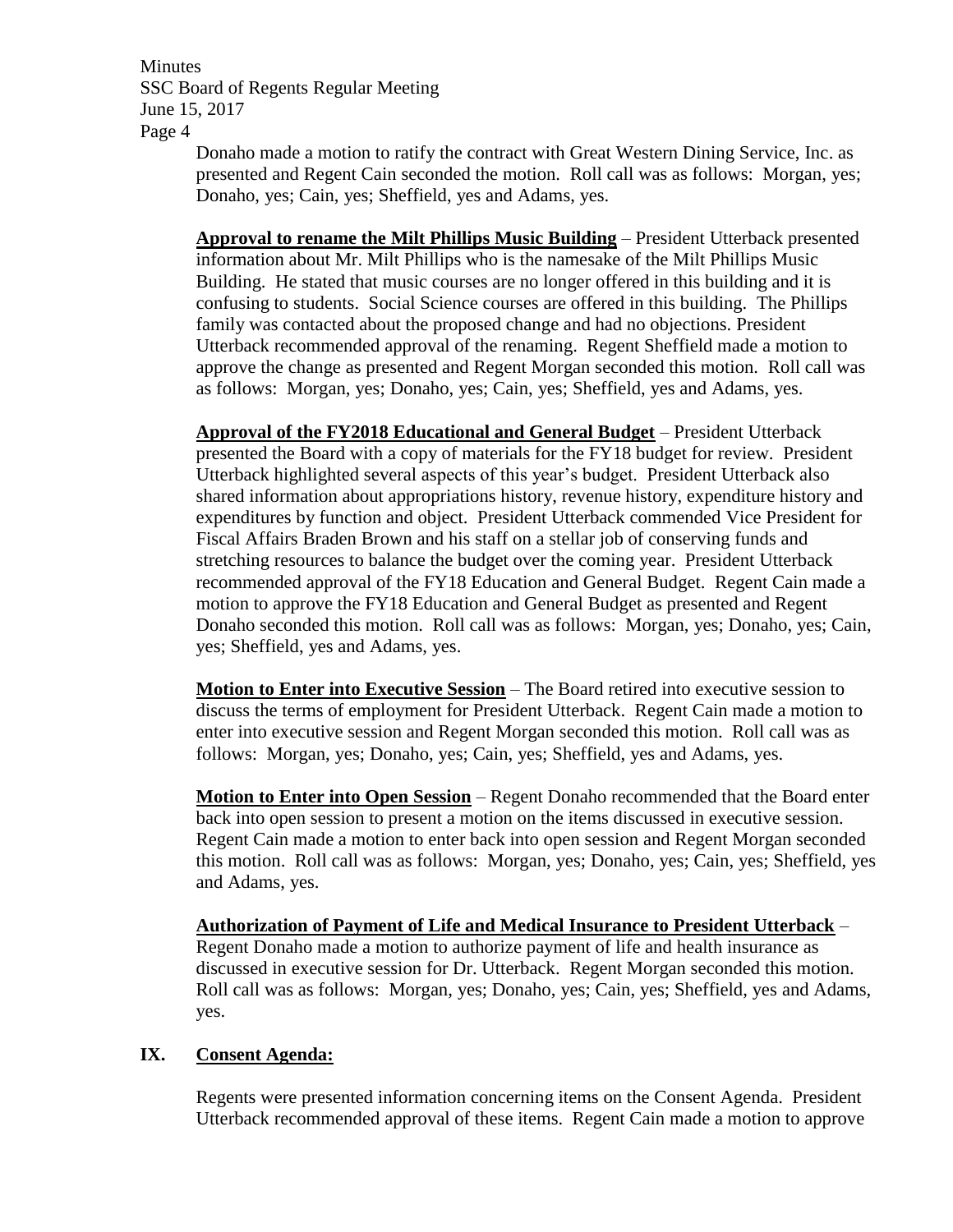> Donaho made a motion to ratify the contract with Great Western Dining Service, Inc. as presented and Regent Cain seconded the motion. Roll call was as follows: Morgan, yes; Donaho, yes; Cain, yes; Sheffield, yes and Adams, yes.

> **Approval to rename the Milt Phillips Music Building** – President Utterback presented information about Mr. Milt Phillips who is the namesake of the Milt Phillips Music Building. He stated that music courses are no longer offered in this building and it is confusing to students. Social Science courses are offered in this building. The Phillips family was contacted about the proposed change and had no objections. President Utterback recommended approval of the renaming. Regent Sheffield made a motion to approve the change as presented and Regent Morgan seconded this motion. Roll call was as follows: Morgan, yes; Donaho, yes; Cain, yes; Sheffield, yes and Adams, yes.

> **Approval of the FY2018 Educational and General Budget** – President Utterback presented the Board with a copy of materials for the FY18 budget for review. President Utterback highlighted several aspects of this year's budget. President Utterback also shared information about appropriations history, revenue history, expenditure history and expenditures by function and object. President Utterback commended Vice President for Fiscal Affairs Braden Brown and his staff on a stellar job of conserving funds and stretching resources to balance the budget over the coming year. President Utterback recommended approval of the FY18 Education and General Budget. Regent Cain made a motion to approve the FY18 Education and General Budget as presented and Regent Donaho seconded this motion. Roll call was as follows: Morgan, yes; Donaho, yes; Cain, yes; Sheffield, yes and Adams, yes.

**Motion to Enter into Executive Session** – The Board retired into executive session to discuss the terms of employment for President Utterback. Regent Cain made a motion to enter into executive session and Regent Morgan seconded this motion. Roll call was as follows: Morgan, yes; Donaho, yes; Cain, yes; Sheffield, yes and Adams, yes.

**Motion to Enter into Open Session** – Regent Donaho recommended that the Board enter back into open session to present a motion on the items discussed in executive session. Regent Cain made a motion to enter back into open session and Regent Morgan seconded this motion. Roll call was as follows: Morgan, yes; Donaho, yes; Cain, yes; Sheffield, yes and Adams, yes.

**Authorization of Payment of Life and Medical Insurance to President Utterback** – Regent Donaho made a motion to authorize payment of life and health insurance as discussed in executive session for Dr. Utterback. Regent Morgan seconded this motion. Roll call was as follows: Morgan, yes; Donaho, yes; Cain, yes; Sheffield, yes and Adams, yes.

### **IX. Consent Agenda:**

Regents were presented information concerning items on the Consent Agenda. President Utterback recommended approval of these items. Regent Cain made a motion to approve